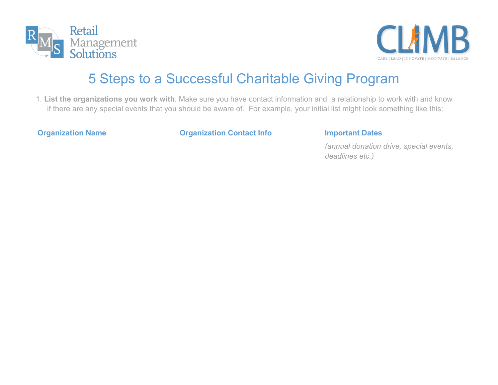



# 5 Steps to a Successful Charitable Giving Program

1. **List the organizations you work with**. Make sure you have contact information and a relationship to work with and know if there are any special events that you should be aware of. For example, your initial list might look something like this:

**Organization Name Organization Contact Info Important Dates**

*(annual donation drive, special events, deadlines etc.)*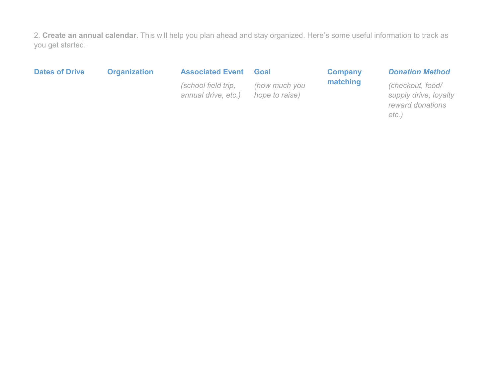2. **Create an annual calendar**. This will help you plan ahead and stay organized. Here's some useful information to track as you get started.

**Dates of Drive Organization Associated Event**

### **Goal**

*(school field trip, annual drive, etc.)*

*(how much you hope to raise)*

## **Company matching**

### *Donation Method*

*(checkout, food/ supply drive, loyalty reward donations etc.)*